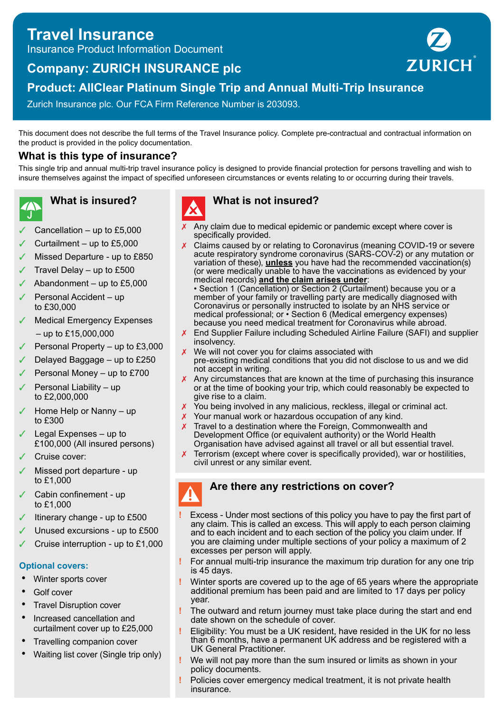# **Travel Insurance**

Insurance Product Information Document

# **Company: ZURICH INSURANCE plc**



# **Product: AllClear Platinum Single Trip and Annual Multi-Trip Insurance**

Zurich Insurance plc. Our FCA Firm Reference Number is 203093.

This document does not describe the full terms of the Travel Insurance policy. Complete pre-contractual and contractual information on the product is provided in the policy documentation.

# **What is this type of insurance?**

This single trip and annual multi-trip travel insurance policy is designed to provide financial protection for persons travelling and wish to insure themselves against the impact of specified unforeseen circumstances or events relating to or occurring during their travels.

**What is insured?**

- Cancellation up to  $£5,000$
- Curtailment up to  $£5,000$
- Missed Departure up to £850
- Travel Delay up to  $£500$
- Abandonment up to  $£5,000$
- Personal Accident up to £30,000
- **Medical Emergency Expenses**  $-$  up to £15,000,000
- Personal Property up to £3,000
- ✓ Delayed Baggage up to £250
- Personal Money up to £700
- Personal Liability up to £2,000,000
- Home Help or Nanny up to £300
- Legal Expenses up to £100,000 (All insured persons)
- Cruise cover:
- Missed port departure up to £1,000
- Cabin confinement up to £1,000
- Itinerary change up to £500
- Unused excursions up to £500
- Cruise interruption up to £1,000

#### **Optional covers:**

- Winter sports cover
- Golf cover
- **Travel Disruption cover**
- Increased cancellation and curtailment cover up to £25,000
- Travelling companion cover
- Waiting list cover (Single trip only)



# **What is not insured?**

- $\chi$  Any claim due to medical epidemic or pandemic except where cover is specifically provided.
- X Claims caused by or relating to Coronavirus (meaning COVID-19 or severe acute respiratory syndrome coronavirus (SARS-COV-2) or any mutation or variation of these), **unless** you have had the recommended vaccination(s) (or were medically unable to have the vaccinations as evidenced by your medical records) **and the claim arises under**:

• Section 1 (Cancellation) or Section 2 (Curtailment) because you or a member of your family or travelling party are medically diagnosed with Coronavirus or personally instructed to isolate by an NHS service or medical professional; or • Section 6 (Medical emergency expenses) because you need medical treatment for Coronavirus while abroad.

- End Supplier Failure including Scheduled Airline Failure (SAFI) and supplier insolvency.
- $x$  We will not cover you for claims associated with pre-existing medical conditions that you did not disclose to us and we did not accept in writing.
- $\chi$  Any circumstances that are known at the time of purchasing this insurance or at the time of booking your trip, which could reasonably be expected to give rise to a claim.
- X You being involved in any malicious, reckless, illegal or criminal act.
- **X** Your manual work or hazardous occupation of any kind.
- $\chi$  Travel to a destination where the Foreign, Commonwealth and Development Office (or equivalent authority) or the World Health Organisation have advised against all travel or all but essential travel.
- $\chi$  Terrorism (except where cover is specifically provided), war or hostilities, civil unrest or any similar event.

## **Are there any restrictions on cover?**

- **!** Excess Under most sections of this policy you have to pay the first part of any claim. This is called an excess. This will apply to each person claiming and to each incident and to each section of the policy you claim under. If you are claiming under multiple sections of your policy a maximum of 2 excesses per person will apply.
	- **!** For annual multi-trip insurance the maximum trip duration for any one trip is 45 days.
	- **!** Winter sports are covered up to the age of 65 years where the appropriate additional premium has been paid and are limited to 17 days per policy year.
	- **!** The outward and return journey must take place during the start and end date shown on the schedule of cover.
	- **!** Eligibility: You must be a UK resident, have resided in the UK for no less than 6 months, have a permanent UK address and be registered with a UK General Practitioner.
	- **!** We will not pay more than the sum insured or limits as shown in your policy documents.
	- **!** Policies cover emergency medical treatment, it is not private health insurance.